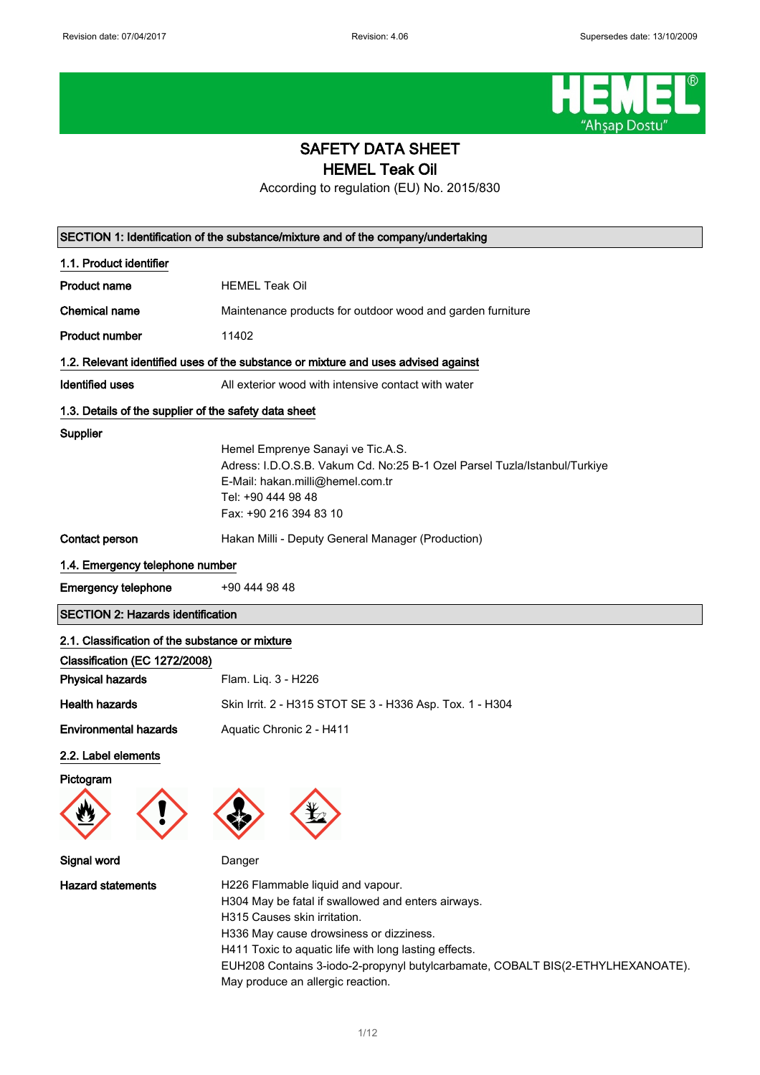

# SAFETY DATA SHEET HEMEL Teak Oil

According to regulation (EU) No. 2015/830

| SECTION 1: Identification of the substance/mixture and of the company/undertaking |                                                                                                                                                                                                                                                                                                                                                     |  |
|-----------------------------------------------------------------------------------|-----------------------------------------------------------------------------------------------------------------------------------------------------------------------------------------------------------------------------------------------------------------------------------------------------------------------------------------------------|--|
| 1.1. Product identifier                                                           |                                                                                                                                                                                                                                                                                                                                                     |  |
| <b>Product name</b>                                                               | <b>HEMEL Teak Oil</b>                                                                                                                                                                                                                                                                                                                               |  |
| <b>Chemical name</b>                                                              | Maintenance products for outdoor wood and garden furniture                                                                                                                                                                                                                                                                                          |  |
| <b>Product number</b>                                                             | 11402                                                                                                                                                                                                                                                                                                                                               |  |
|                                                                                   | 1.2. Relevant identified uses of the substance or mixture and uses advised against                                                                                                                                                                                                                                                                  |  |
| <b>Identified uses</b>                                                            | All exterior wood with intensive contact with water                                                                                                                                                                                                                                                                                                 |  |
| 1.3. Details of the supplier of the safety data sheet                             |                                                                                                                                                                                                                                                                                                                                                     |  |
| Supplier                                                                          | Hemel Emprenye Sanayi ve Tic.A.S.<br>Adress: I.D.O.S.B. Vakum Cd. No:25 B-1 Ozel Parsel Tuzla/Istanbul/Turkiye<br>E-Mail: hakan.milli@hemel.com.tr<br>Tel: +90 444 98 48<br>Fax: +90 216 394 83 10                                                                                                                                                  |  |
| Contact person                                                                    | Hakan Milli - Deputy General Manager (Production)                                                                                                                                                                                                                                                                                                   |  |
| 1.4. Emergency telephone number                                                   |                                                                                                                                                                                                                                                                                                                                                     |  |
| <b>Emergency telephone</b>                                                        | +90 444 98 48                                                                                                                                                                                                                                                                                                                                       |  |
| <b>SECTION 2: Hazards identification</b>                                          |                                                                                                                                                                                                                                                                                                                                                     |  |
| 2.1. Classification of the substance or mixture                                   |                                                                                                                                                                                                                                                                                                                                                     |  |
| Classification (EC 1272/2008)<br><b>Physical hazards</b>                          | Flam. Liq. 3 - H226                                                                                                                                                                                                                                                                                                                                 |  |
| <b>Health hazards</b>                                                             |                                                                                                                                                                                                                                                                                                                                                     |  |
| <b>Environmental hazards</b>                                                      | Skin Irrit. 2 - H315 STOT SE 3 - H336 Asp. Tox. 1 - H304                                                                                                                                                                                                                                                                                            |  |
|                                                                                   | Aquatic Chronic 2 - H411                                                                                                                                                                                                                                                                                                                            |  |
| 2.2. Label elements                                                               |                                                                                                                                                                                                                                                                                                                                                     |  |
| Pictogram                                                                         |                                                                                                                                                                                                                                                                                                                                                     |  |
| Signal word                                                                       | Danger                                                                                                                                                                                                                                                                                                                                              |  |
| <b>Hazard statements</b>                                                          | H226 Flammable liquid and vapour.<br>H304 May be fatal if swallowed and enters airways.<br>H315 Causes skin irritation.<br>H336 May cause drowsiness or dizziness.<br>H411 Toxic to aquatic life with long lasting effects.<br>EUH208 Contains 3-iodo-2-propynyl butylcarbamate, COBALT BIS(2-ETHYLHEXANOATE).<br>May produce an allergic reaction. |  |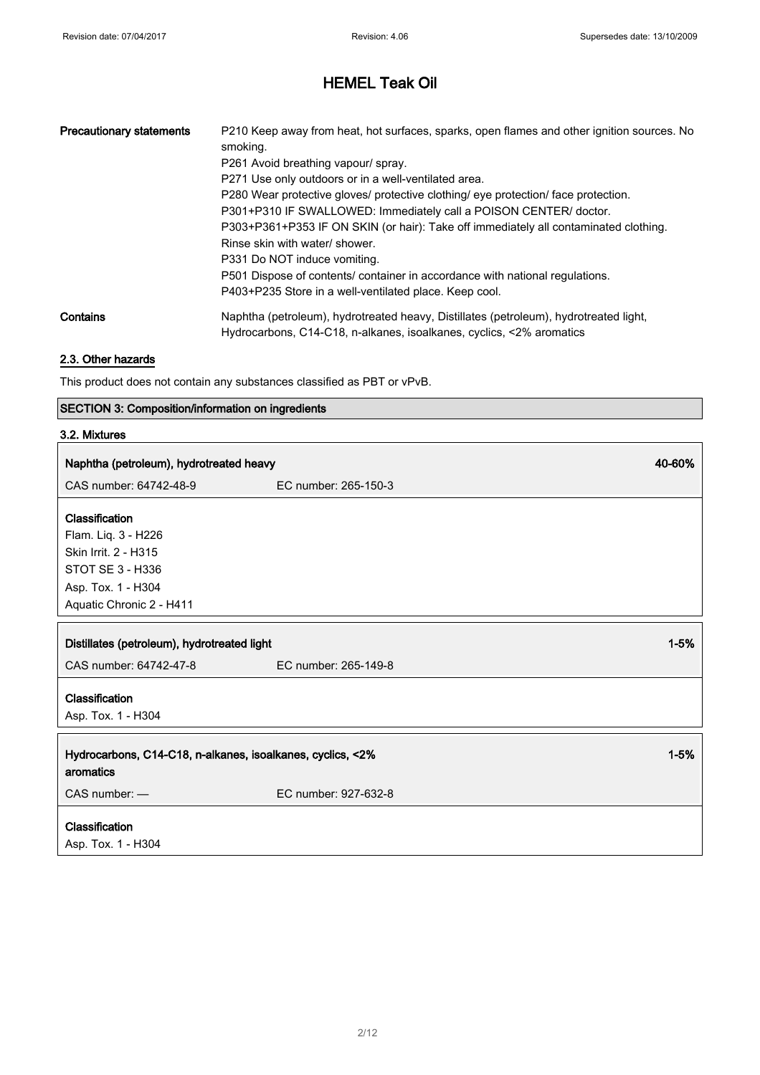| <b>Precautionary statements</b> | P210 Keep away from heat, hot surfaces, sparks, open flames and other ignition sources. No<br>smoking.<br>P261 Avoid breathing vapour/ spray.                 |
|---------------------------------|---------------------------------------------------------------------------------------------------------------------------------------------------------------|
|                                 | P271 Use only outdoors or in a well-ventilated area.                                                                                                          |
|                                 | P280 Wear protective gloves/ protective clothing/ eye protection/ face protection.                                                                            |
|                                 | P301+P310 IF SWALLOWED: Immediately call a POISON CENTER/ doctor.                                                                                             |
|                                 | P303+P361+P353 IF ON SKIN (or hair): Take off immediately all contaminated clothing.                                                                          |
|                                 | Rinse skin with water/ shower.                                                                                                                                |
|                                 | P331 Do NOT induce vomiting.                                                                                                                                  |
|                                 | P501 Dispose of contents/ container in accordance with national regulations.                                                                                  |
|                                 | P403+P235 Store in a well-ventilated place. Keep cool.                                                                                                        |
| Contains                        | Naphtha (petroleum), hydrotreated heavy, Distillates (petroleum), hydrotreated light,<br>Hydrocarbons, C14-C18, n-alkanes, isoalkanes, cyclics, <2% aromatics |

## 2.3. Other hazards

This product does not contain any substances classified as PBT or vPvB.

## SECTION 3: Composition/information on ingredients

### 3.2. Mixtures

| Naphtha (petroleum), hydrotreated heavy                                                                                             |                      | 40-60%   |
|-------------------------------------------------------------------------------------------------------------------------------------|----------------------|----------|
| CAS number: 64742-48-9                                                                                                              | EC number: 265-150-3 |          |
| Classification<br>Flam. Liq. 3 - H226<br>Skin Irrit. 2 - H315<br>STOT SE 3 - H336<br>Asp. Tox. 1 - H304<br>Aquatic Chronic 2 - H411 |                      |          |
| Distillates (petroleum), hydrotreated light<br>CAS number: 64742-47-8                                                               | EC number: 265-149-8 | $1 - 5%$ |
| Classification<br>Asp. Tox. 1 - H304                                                                                                |                      |          |
| Hydrocarbons, C14-C18, n-alkanes, isoalkanes, cyclics, <2%<br>aromatics                                                             |                      | $1 - 5%$ |
| CAS number: -                                                                                                                       | EC number: 927-632-8 |          |
| Classification<br>Asp. Tox. 1 - H304                                                                                                |                      |          |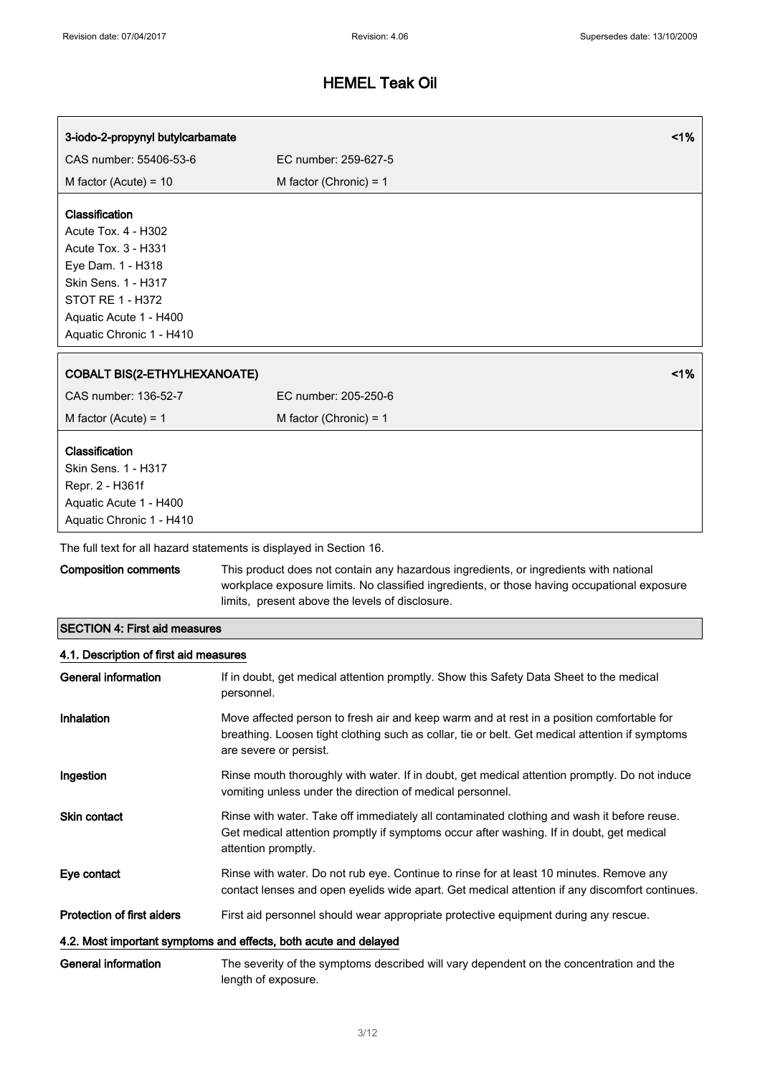| 3-iodo-2-propynyl butylcarbamate                                                                                                                                                   | $1\%$                                                                                                                                                                                                                                   |
|------------------------------------------------------------------------------------------------------------------------------------------------------------------------------------|-----------------------------------------------------------------------------------------------------------------------------------------------------------------------------------------------------------------------------------------|
| CAS number: 55406-53-6                                                                                                                                                             | EC number: 259-627-5                                                                                                                                                                                                                    |
| M factor (Acute) = $10$                                                                                                                                                            | M factor (Chronic) = $1$                                                                                                                                                                                                                |
| Classification<br>Acute Tox. 4 - H302<br>Acute Tox. 3 - H331<br>Eye Dam. 1 - H318<br>Skin Sens. 1 - H317<br>STOT RE 1 - H372<br>Aquatic Acute 1 - H400<br>Aquatic Chronic 1 - H410 |                                                                                                                                                                                                                                         |
| <b>COBALT BIS(2-ETHYLHEXANOATE)</b>                                                                                                                                                | 1%                                                                                                                                                                                                                                      |
| CAS number: 136-52-7                                                                                                                                                               | EC number: 205-250-6                                                                                                                                                                                                                    |
| M factor (Acute) = $1$                                                                                                                                                             | M factor (Chronic) = $1$                                                                                                                                                                                                                |
| Classification<br><b>Skin Sens. 1 - H317</b><br>Repr. 2 - H361f<br>Aquatic Acute 1 - H400<br>Aquatic Chronic 1 - H410                                                              |                                                                                                                                                                                                                                         |
|                                                                                                                                                                                    | The full text for all hazard statements is displayed in Section 16.                                                                                                                                                                     |
| <b>Composition comments</b>                                                                                                                                                        | This product does not contain any hazardous ingredients, or ingredients with national<br>workplace exposure limits. No classified ingredients, or those having occupational exposure<br>limits, present above the levels of disclosure. |
| <b>SECTION 4: First aid measures</b>                                                                                                                                               |                                                                                                                                                                                                                                         |
| 4.1. Description of first aid measures                                                                                                                                             |                                                                                                                                                                                                                                         |
| General information                                                                                                                                                                | If in doubt, get medical attention promptly. Show this Safety Data Sheet to the medical<br>personnel.                                                                                                                                   |
| Inhalation                                                                                                                                                                         | Move affected person to fresh air and keep warm and at rest in a position comfortable for<br>breathing. Loosen tight clothing such as collar, tie or belt. Get medical attention if symptoms<br>are severe or persist.                  |
| Ingestion                                                                                                                                                                          | Rinse mouth thoroughly with water. If in doubt, get medical attention promptly. Do not induce<br>vomiting unless under the direction of medical personnel.                                                                              |
| <b>Skin contact</b>                                                                                                                                                                | Rinse with water. Take off immediately all contaminated clothing and wash it before reuse.<br>Get medical attention promptly if symptoms occur after washing. If in doubt, get medical<br>attention promptly.                           |
| Eye contact                                                                                                                                                                        | Rinse with water. Do not rub eye. Continue to rinse for at least 10 minutes. Remove any<br>contact lenses and open eyelids wide apart. Get medical attention if any discomfort continues.                                               |
| <b>Protection of first aiders</b>                                                                                                                                                  | First aid personnel should wear appropriate protective equipment during any rescue.                                                                                                                                                     |
|                                                                                                                                                                                    | 4.2. Most important symptoms and effects, both acute and delayed                                                                                                                                                                        |
| <b>General information</b>                                                                                                                                                         | The severity of the symptoms described will vary dependent on the concentration and the<br>length of exposure.                                                                                                                          |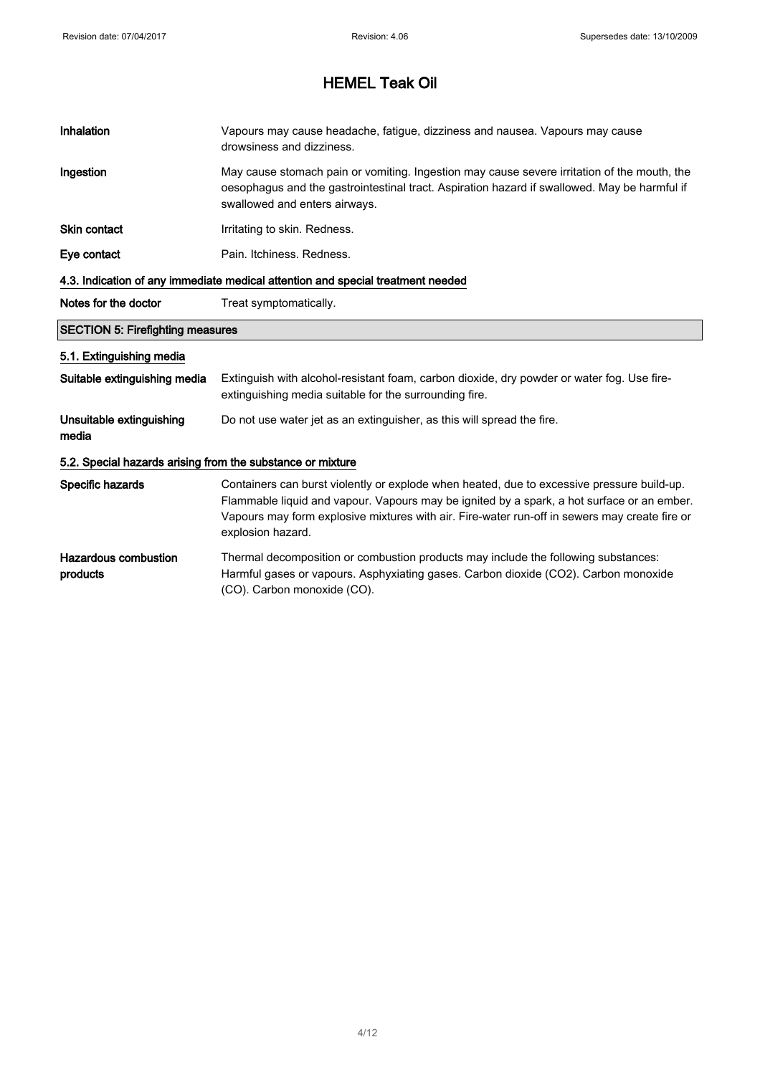| Inhalation                                                 | Vapours may cause headache, fatigue, dizziness and nausea. Vapours may cause<br>drowsiness and dizziness.                                                                                                                                                                                                      |
|------------------------------------------------------------|----------------------------------------------------------------------------------------------------------------------------------------------------------------------------------------------------------------------------------------------------------------------------------------------------------------|
| Ingestion                                                  | May cause stomach pain or vomiting. Ingestion may cause severe irritation of the mouth, the<br>oesophagus and the gastrointestinal tract. Aspiration hazard if swallowed. May be harmful if<br>swallowed and enters airways.                                                                                   |
| <b>Skin contact</b>                                        | Irritating to skin. Redness.                                                                                                                                                                                                                                                                                   |
| Eye contact                                                | Pain. Itchiness. Redness.                                                                                                                                                                                                                                                                                      |
|                                                            | 4.3. Indication of any immediate medical attention and special treatment needed                                                                                                                                                                                                                                |
| Notes for the doctor                                       | Treat symptomatically.                                                                                                                                                                                                                                                                                         |
| <b>SECTION 5: Firefighting measures</b>                    |                                                                                                                                                                                                                                                                                                                |
| 5.1. Extinguishing media                                   |                                                                                                                                                                                                                                                                                                                |
| Suitable extinguishing media                               | Extinguish with alcohol-resistant foam, carbon dioxide, dry powder or water fog. Use fire-<br>extinguishing media suitable for the surrounding fire.                                                                                                                                                           |
| Unsuitable extinguishing<br>media                          | Do not use water jet as an extinguisher, as this will spread the fire.                                                                                                                                                                                                                                         |
| 5.2. Special hazards arising from the substance or mixture |                                                                                                                                                                                                                                                                                                                |
| Specific hazards                                           | Containers can burst violently or explode when heated, due to excessive pressure build-up.<br>Flammable liquid and vapour. Vapours may be ignited by a spark, a hot surface or an ember.<br>Vapours may form explosive mixtures with air. Fire-water run-off in sewers may create fire or<br>explosion hazard. |
| <b>Hazardous combustion</b><br>products                    | Thermal decomposition or combustion products may include the following substances:<br>Harmful gases or vapours. Asphyxiating gases. Carbon dioxide (CO2). Carbon monoxide<br>(CO). Carbon monoxide (CO).                                                                                                       |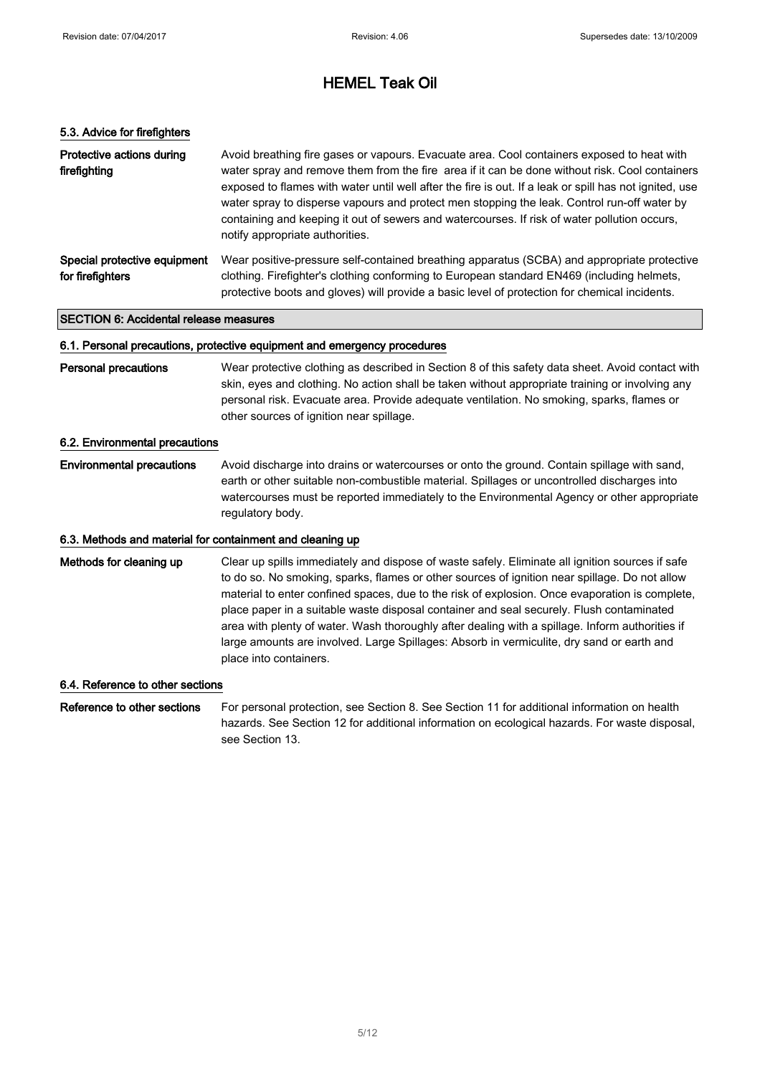#### 5.3. Advice for firefighters

| Protective actions during<br>firefighting        | Avoid breathing fire gases or vapours. Evacuate area. Cool containers exposed to heat with<br>water spray and remove them from the fire area if it can be done without risk. Cool containers<br>exposed to flames with water until well after the fire is out. If a leak or spill has not ignited, use<br>water spray to disperse vapours and protect men stopping the leak. Control run-off water by<br>containing and keeping it out of sewers and watercourses. If risk of water pollution occurs,<br>notify appropriate authorities. |
|--------------------------------------------------|------------------------------------------------------------------------------------------------------------------------------------------------------------------------------------------------------------------------------------------------------------------------------------------------------------------------------------------------------------------------------------------------------------------------------------------------------------------------------------------------------------------------------------------|
| Special protective equipment<br>for firefighters | Wear positive-pressure self-contained breathing apparatus (SCBA) and appropriate protective<br>clothing. Firefighter's clothing conforming to European standard EN469 (including helmets,<br>protective boots and gloves) will provide a basic level of protection for chemical incidents.                                                                                                                                                                                                                                               |

#### SECTION 6: Accidental release measures

#### 6.1. Personal precautions, protective equipment and emergency procedures

Personal precautions Wear protective clothing as described in Section 8 of this safety data sheet. Avoid contact with skin, eyes and clothing. No action shall be taken without appropriate training or involving any personal risk. Evacuate area. Provide adequate ventilation. No smoking, sparks, flames or other sources of ignition near spillage.

#### 6.2. Environmental precautions

### Environmental precautions Avoid discharge into drains or watercourses or onto the ground. Contain spillage with sand, earth or other suitable non-combustible material. Spillages or uncontrolled discharges into watercourses must be reported immediately to the Environmental Agency or other appropriate regulatory body.

#### 6.3. Methods and material for containment and cleaning up

Methods for cleaning up Clear up spills immediately and dispose of waste safely. Eliminate all ignition sources if safe to do so. No smoking, sparks, flames or other sources of ignition near spillage. Do not allow material to enter confined spaces, due to the risk of explosion. Once evaporation is complete, place paper in a suitable waste disposal container and seal securely. Flush contaminated area with plenty of water. Wash thoroughly after dealing with a spillage. Inform authorities if large amounts are involved. Large Spillages: Absorb in vermiculite, dry sand or earth and place into containers.

#### 6.4. Reference to other sections

Reference to other sections For personal protection, see Section 8. See Section 11 for additional information on health hazards. See Section 12 for additional information on ecological hazards. For waste disposal, see Section 13.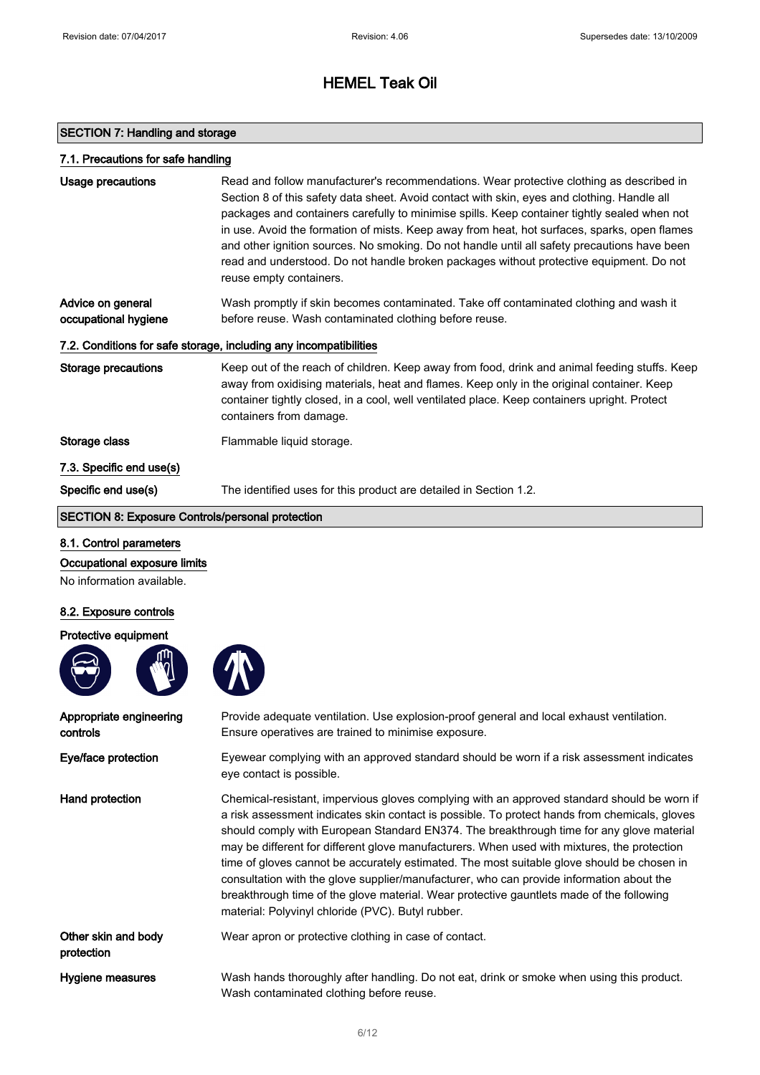#### SECTION 7: Handling and storage

| 7.1. Precautions for safe handling                      |                                                                                                                                                                                                                                                                                                                                                                                                                                                                                                                                                                                                               |
|---------------------------------------------------------|---------------------------------------------------------------------------------------------------------------------------------------------------------------------------------------------------------------------------------------------------------------------------------------------------------------------------------------------------------------------------------------------------------------------------------------------------------------------------------------------------------------------------------------------------------------------------------------------------------------|
| Usage precautions                                       | Read and follow manufacturer's recommendations. Wear protective clothing as described in<br>Section 8 of this safety data sheet. Avoid contact with skin, eyes and clothing. Handle all<br>packages and containers carefully to minimise spills. Keep container tightly sealed when not<br>in use. Avoid the formation of mists. Keep away from heat, hot surfaces, sparks, open flames<br>and other ignition sources. No smoking. Do not handle until all safety precautions have been<br>read and understood. Do not handle broken packages without protective equipment. Do not<br>reuse empty containers. |
| Advice on general<br>occupational hygiene               | Wash promptly if skin becomes contaminated. Take off contaminated clothing and wash it<br>before reuse. Wash contaminated clothing before reuse.                                                                                                                                                                                                                                                                                                                                                                                                                                                              |
|                                                         | 7.2. Conditions for safe storage, including any incompatibilities                                                                                                                                                                                                                                                                                                                                                                                                                                                                                                                                             |
| Storage precautions                                     | Keep out of the reach of children. Keep away from food, drink and animal feeding stuffs. Keep<br>away from oxidising materials, heat and flames. Keep only in the original container. Keep<br>container tightly closed, in a cool, well ventilated place. Keep containers upright. Protect<br>containers from damage.                                                                                                                                                                                                                                                                                         |
| Storage class                                           | Flammable liquid storage.                                                                                                                                                                                                                                                                                                                                                                                                                                                                                                                                                                                     |
| 7.3. Specific end use(s)                                |                                                                                                                                                                                                                                                                                                                                                                                                                                                                                                                                                                                                               |
| Specific end use(s)                                     | The identified uses for this product are detailed in Section 1.2.                                                                                                                                                                                                                                                                                                                                                                                                                                                                                                                                             |
| <b>SECTION 8: Exposure Controls/personal protection</b> |                                                                                                                                                                                                                                                                                                                                                                                                                                                                                                                                                                                                               |

#### 8.1. Control parameters

Occupational exposure limits

No information available.

#### 8.2. Exposure controls

#### Protective equipment





Appropriate engineering controls Provide adequate ventilation. Use explosion-proof general and local exhaust ventilation. Ensure operatives are trained to minimise exposure. Eye/face protection Eyewear complying with an approved standard should be worn if a risk assessment indicates eye contact is possible. Hand protection **Chemical-resistant, impervious gloves complying with an approved standard should be worn if** a risk assessment indicates skin contact is possible. To protect hands from chemicals, gloves should comply with European Standard EN374. The breakthrough time for any glove material may be different for different glove manufacturers. When used with mixtures, the protection time of gloves cannot be accurately estimated. The most suitable glove should be chosen in consultation with the glove supplier/manufacturer, who can provide information about the breakthrough time of the glove material. Wear protective gauntlets made of the following material: Polyvinyl chloride (PVC). Butyl rubber. Other skin and body protection Wear apron or protective clothing in case of contact.

Hygiene measures Wash hands thoroughly after handling. Do not eat, drink or smoke when using this product. Wash contaminated clothing before reuse.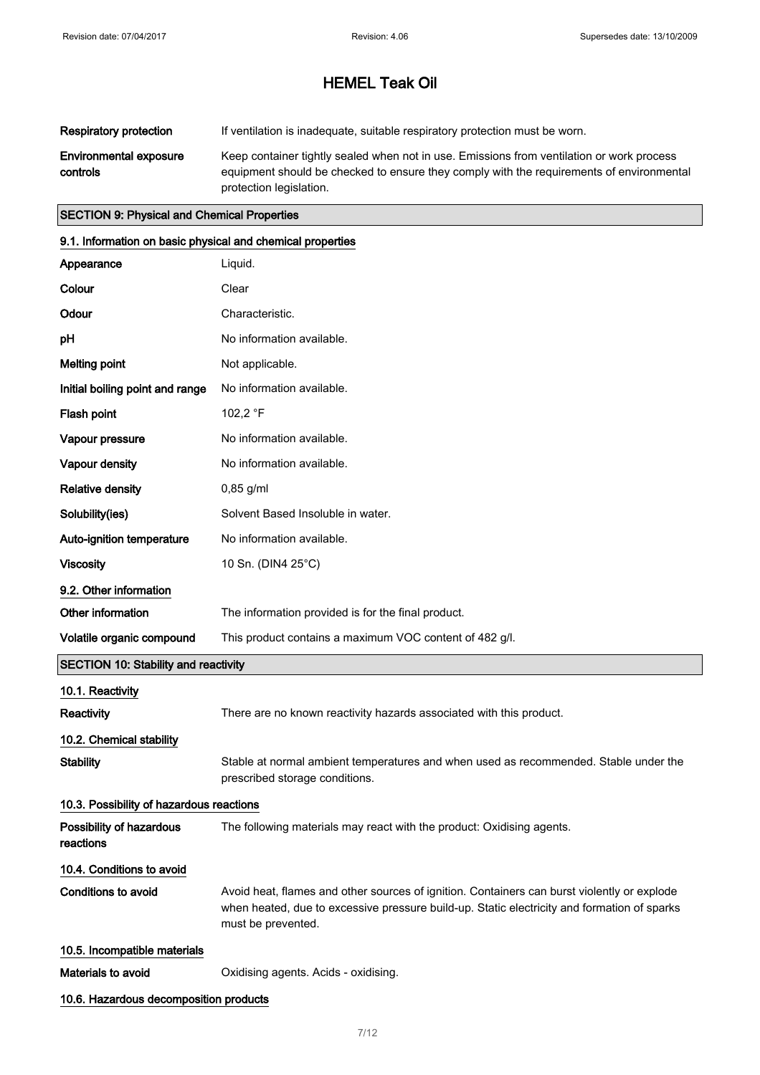| <b>Respiratory protection</b>             | If ventilation is inadequate, suitable respiratory protection must be worn.                                                                                                                                      |
|-------------------------------------------|------------------------------------------------------------------------------------------------------------------------------------------------------------------------------------------------------------------|
| <b>Environmental exposure</b><br>controls | Keep container tightly sealed when not in use. Emissions from ventilation or work process<br>equipment should be checked to ensure they comply with the requirements of environmental<br>protection legislation. |

## SECTION 9: Physical and Chemical Properties

| 9.1. Information on basic physical and chemical properties |                                                                                                                                                                                                                  |  |
|------------------------------------------------------------|------------------------------------------------------------------------------------------------------------------------------------------------------------------------------------------------------------------|--|
| Appearance                                                 | Liquid.                                                                                                                                                                                                          |  |
| Colour                                                     | Clear                                                                                                                                                                                                            |  |
| Odour                                                      | Characteristic.                                                                                                                                                                                                  |  |
| рH                                                         | No information available.                                                                                                                                                                                        |  |
| <b>Melting point</b>                                       | Not applicable.                                                                                                                                                                                                  |  |
| Initial boiling point and range                            | No information available.                                                                                                                                                                                        |  |
| Flash point                                                | 102,2 °F                                                                                                                                                                                                         |  |
| Vapour pressure                                            | No information available.                                                                                                                                                                                        |  |
| Vapour density                                             | No information available.                                                                                                                                                                                        |  |
| <b>Relative density</b>                                    | 0,85 g/ml                                                                                                                                                                                                        |  |
| Solubility(ies)                                            | Solvent Based Insoluble in water.                                                                                                                                                                                |  |
| Auto-ignition temperature                                  | No information available.                                                                                                                                                                                        |  |
| <b>Viscosity</b>                                           | 10 Sn. (DIN4 25°C)                                                                                                                                                                                               |  |
| 9.2. Other information                                     |                                                                                                                                                                                                                  |  |
| Other information                                          | The information provided is for the final product.                                                                                                                                                               |  |
| Volatile organic compound                                  | This product contains a maximum VOC content of 482 g/l.                                                                                                                                                          |  |
|                                                            |                                                                                                                                                                                                                  |  |
| <b>SECTION 10: Stability and reactivity</b>                |                                                                                                                                                                                                                  |  |
| 10.1. Reactivity                                           |                                                                                                                                                                                                                  |  |
| <b>Reactivity</b>                                          | There are no known reactivity hazards associated with this product.                                                                                                                                              |  |
| 10.2. Chemical stability                                   |                                                                                                                                                                                                                  |  |
| <b>Stability</b>                                           | Stable at normal ambient temperatures and when used as recommended. Stable under the<br>prescribed storage conditions.                                                                                           |  |
| 10.3. Possibility of hazardous reactions                   |                                                                                                                                                                                                                  |  |
| Possibility of hazardous<br>reactions                      | The following materials may react with the product: Oxidising agents.                                                                                                                                            |  |
| 10.4. Conditions to avoid                                  |                                                                                                                                                                                                                  |  |
| Conditions to avoid                                        | Avoid heat, flames and other sources of ignition. Containers can burst violently or explode<br>when heated, due to excessive pressure build-up. Static electricity and formation of sparks<br>must be prevented. |  |
| 10.5. Incompatible materials                               |                                                                                                                                                                                                                  |  |
| Materials to avoid                                         | Oxidising agents. Acids - oxidising.                                                                                                                                                                             |  |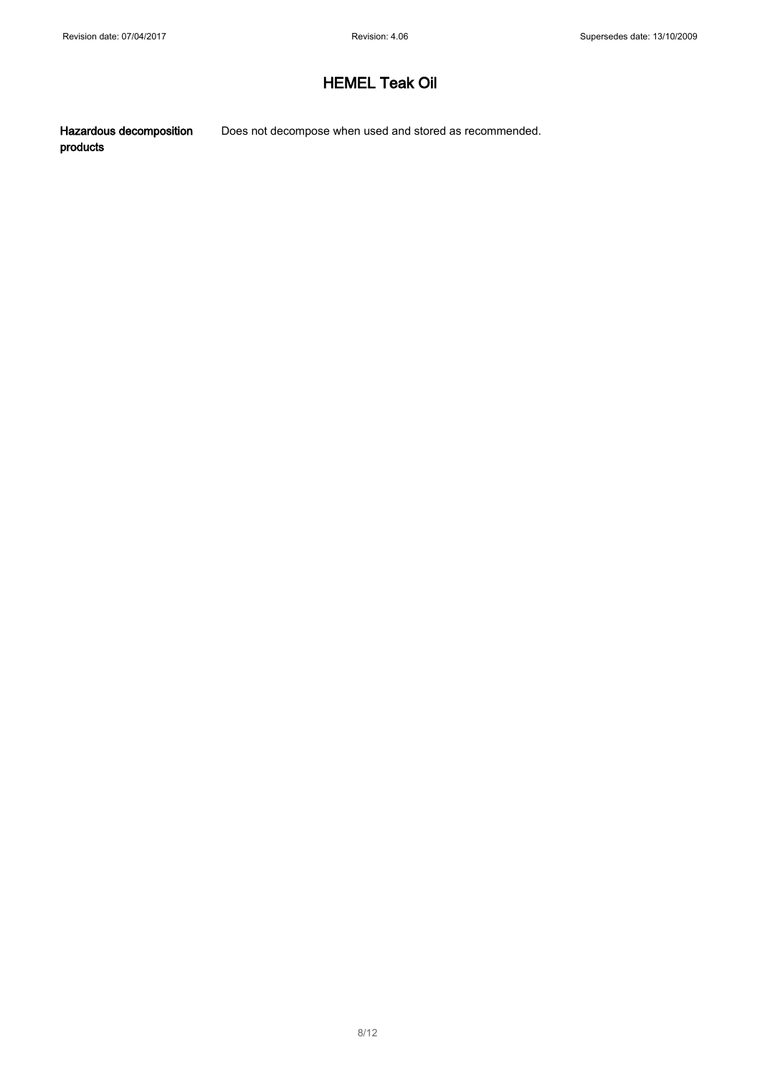Hazardous decomposition products Does not decompose when used and stored as recommended.

8/ 12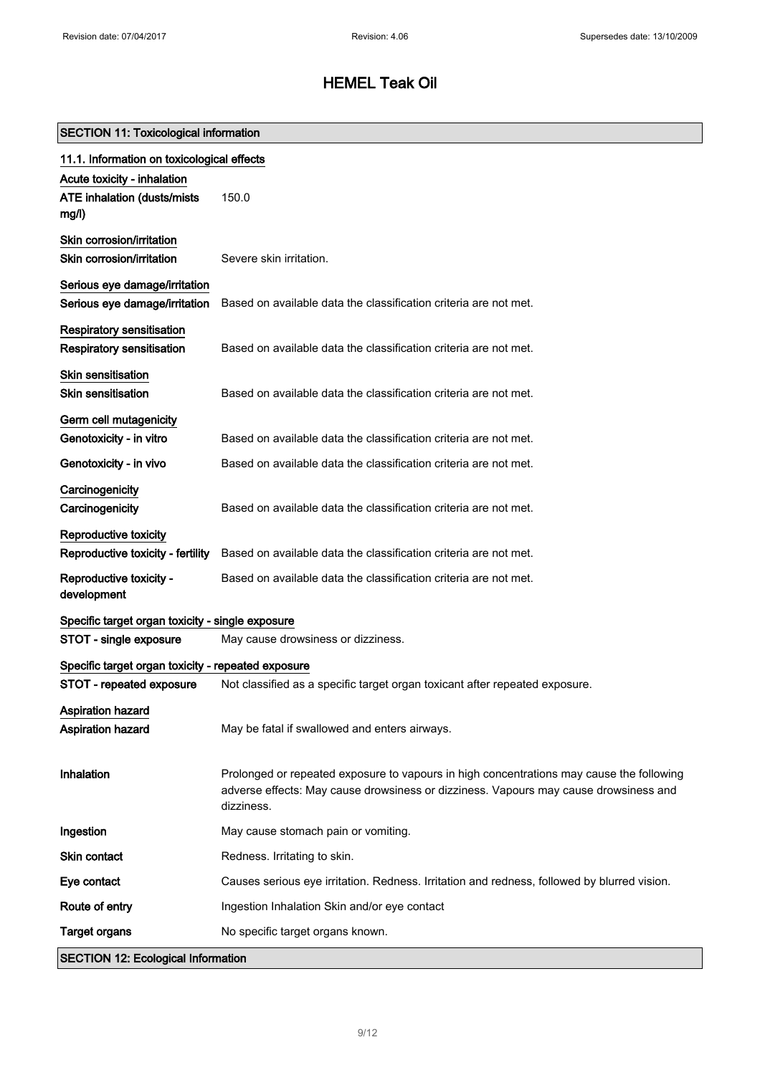## SECTION 11: Toxicological information

| 11.1. Information on toxicological effects                                  |                                                                                                                                                                                                |
|-----------------------------------------------------------------------------|------------------------------------------------------------------------------------------------------------------------------------------------------------------------------------------------|
| Acute toxicity - inhalation<br><b>ATE inhalation (dusts/mists)</b><br>mg/l) | 150.0                                                                                                                                                                                          |
| Skin corrosion/irritation<br>Skin corrosion/irritation                      | Severe skin irritation.                                                                                                                                                                        |
| Serious eye damage/irritation<br>Serious eye damage/irritation              | Based on available data the classification criteria are not met.                                                                                                                               |
| <b>Respiratory sensitisation</b><br><b>Respiratory sensitisation</b>        | Based on available data the classification criteria are not met.                                                                                                                               |
| <b>Skin sensitisation</b><br><b>Skin sensitisation</b>                      | Based on available data the classification criteria are not met.                                                                                                                               |
| Germ cell mutagenicity<br>Genotoxicity - in vitro                           | Based on available data the classification criteria are not met.                                                                                                                               |
| Genotoxicity - in vivo                                                      | Based on available data the classification criteria are not met.                                                                                                                               |
| Carcinogenicity<br>Carcinogenicity                                          | Based on available data the classification criteria are not met.                                                                                                                               |
| Reproductive toxicity<br>Reproductive toxicity - fertility                  | Based on available data the classification criteria are not met.                                                                                                                               |
| Reproductive toxicity -<br>development                                      | Based on available data the classification criteria are not met.                                                                                                                               |
| Specific target organ toxicity - single exposure                            |                                                                                                                                                                                                |
| STOT - single exposure                                                      | May cause drowsiness or dizziness.                                                                                                                                                             |
| Specific target organ toxicity - repeated exposure                          |                                                                                                                                                                                                |
| STOT - repeated exposure                                                    | Not classified as a specific target organ toxicant after repeated exposure.                                                                                                                    |
| <b>Aspiration hazard</b><br><b>Aspiration hazard</b>                        | May be fatal if swallowed and enters airways.                                                                                                                                                  |
| Inhalation                                                                  | Prolonged or repeated exposure to vapours in high concentrations may cause the following<br>adverse effects: May cause drowsiness or dizziness. Vapours may cause drowsiness and<br>dizziness. |
| Ingestion                                                                   | May cause stomach pain or vomiting.                                                                                                                                                            |
| Skin contact                                                                | Redness. Irritating to skin.                                                                                                                                                                   |
| Eye contact                                                                 | Causes serious eye irritation. Redness. Irritation and redness, followed by blurred vision.                                                                                                    |
| Route of entry                                                              | Ingestion Inhalation Skin and/or eye contact                                                                                                                                                   |
| <b>Target organs</b>                                                        | No specific target organs known.                                                                                                                                                               |
| <b>SECTION 12: Ecological Information</b>                                   |                                                                                                                                                                                                |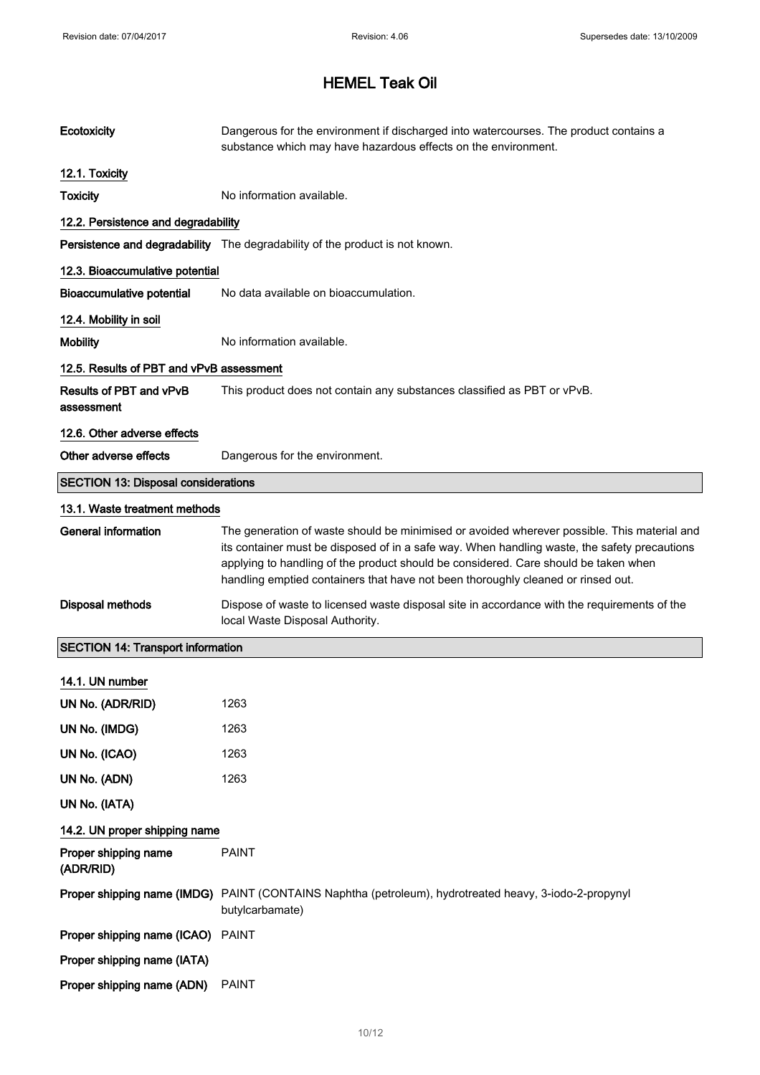| Ecotoxicity                                | Dangerous for the environment if discharged into watercourses. The product contains a<br>substance which may have hazardous effects on the environment.                                                                                                                                                                                                                |
|--------------------------------------------|------------------------------------------------------------------------------------------------------------------------------------------------------------------------------------------------------------------------------------------------------------------------------------------------------------------------------------------------------------------------|
| 12.1. Toxicity                             |                                                                                                                                                                                                                                                                                                                                                                        |
| <b>Toxicity</b>                            | No information available.                                                                                                                                                                                                                                                                                                                                              |
| 12.2. Persistence and degradability        |                                                                                                                                                                                                                                                                                                                                                                        |
|                                            | Persistence and degradability The degradability of the product is not known.                                                                                                                                                                                                                                                                                           |
| 12.3. Bioaccumulative potential            |                                                                                                                                                                                                                                                                                                                                                                        |
| <b>Bioaccumulative potential</b>           | No data available on bioaccumulation.                                                                                                                                                                                                                                                                                                                                  |
| 12.4. Mobility in soil                     |                                                                                                                                                                                                                                                                                                                                                                        |
| <b>Mobility</b>                            | No information available.                                                                                                                                                                                                                                                                                                                                              |
| 12.5. Results of PBT and vPvB assessment   |                                                                                                                                                                                                                                                                                                                                                                        |
| Results of PBT and vPvB<br>assessment      | This product does not contain any substances classified as PBT or vPvB.                                                                                                                                                                                                                                                                                                |
| 12.6. Other adverse effects                |                                                                                                                                                                                                                                                                                                                                                                        |
| Other adverse effects                      | Dangerous for the environment.                                                                                                                                                                                                                                                                                                                                         |
| <b>SECTION 13: Disposal considerations</b> |                                                                                                                                                                                                                                                                                                                                                                        |
| 13.1. Waste treatment methods              |                                                                                                                                                                                                                                                                                                                                                                        |
| <b>General information</b>                 | The generation of waste should be minimised or avoided wherever possible. This material and<br>its container must be disposed of in a safe way. When handling waste, the safety precautions<br>applying to handling of the product should be considered. Care should be taken when<br>handling emptied containers that have not been thoroughly cleaned or rinsed out. |
| <b>Disposal methods</b>                    | Dispose of waste to licensed waste disposal site in accordance with the requirements of the<br>local Waste Disposal Authority.                                                                                                                                                                                                                                         |
| <b>SECTION 14: Transport information</b>   |                                                                                                                                                                                                                                                                                                                                                                        |
| 14.1. UN number                            |                                                                                                                                                                                                                                                                                                                                                                        |
| UN No. (ADR/RID)                           | 1263                                                                                                                                                                                                                                                                                                                                                                   |
| UN No. (IMDG)                              | 1263                                                                                                                                                                                                                                                                                                                                                                   |
| UN No. (ICAO)                              | 1263                                                                                                                                                                                                                                                                                                                                                                   |
| UN No. (ADN)                               | 1263                                                                                                                                                                                                                                                                                                                                                                   |
| UN No. (IATA)                              |                                                                                                                                                                                                                                                                                                                                                                        |
| 14.2. UN proper shipping name              |                                                                                                                                                                                                                                                                                                                                                                        |
| Proper shipping name<br>(ADR/RID)          | <b>PAINT</b>                                                                                                                                                                                                                                                                                                                                                           |
| Proper shipping name (IMDG)                | PAINT (CONTAINS Naphtha (petroleum), hydrotreated heavy, 3-iodo-2-propynyl<br>butylcarbamate)                                                                                                                                                                                                                                                                          |
| Proper shipping name (ICAO)                | <b>PAINT</b>                                                                                                                                                                                                                                                                                                                                                           |
| Proper shipping name (IATA)                |                                                                                                                                                                                                                                                                                                                                                                        |
| Proper shipping name (ADN)                 | <b>PAINT</b>                                                                                                                                                                                                                                                                                                                                                           |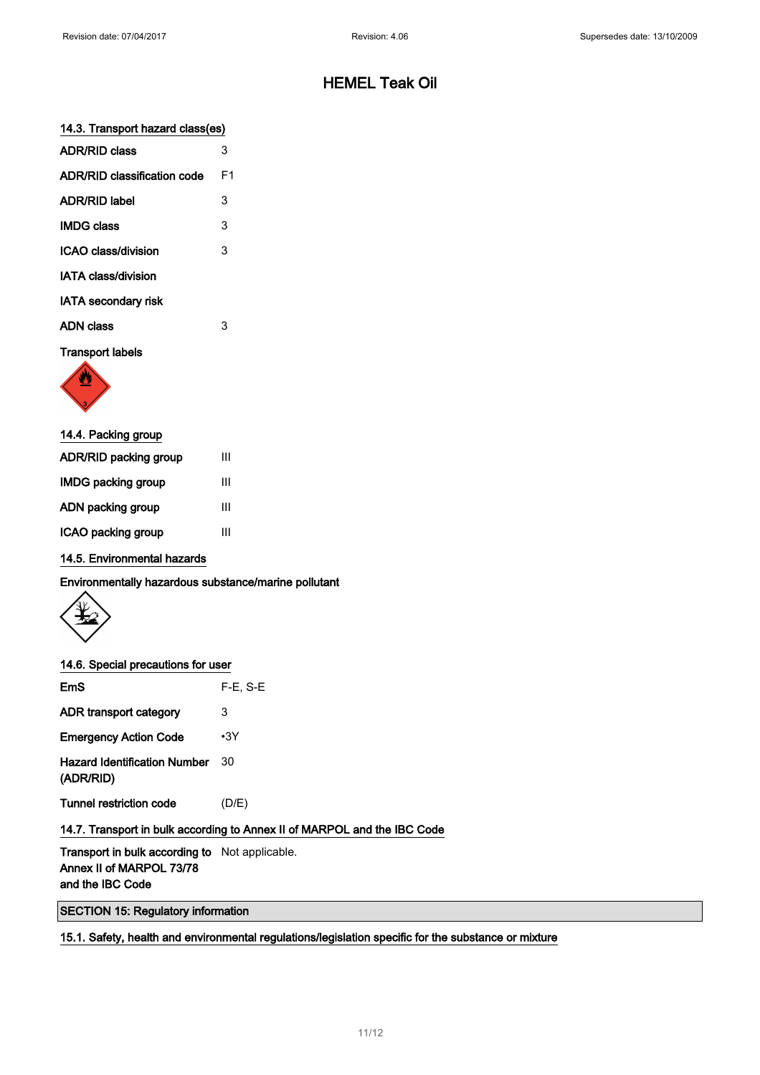### 14.3. Transport hazard class(es)

| <b>ADR/RID class</b>        | 3  |
|-----------------------------|----|
| ADR/RID classification code | F1 |
| ADR/RID label               | 3  |
| <b>IMDG class</b>           | 3  |
| ICAO class/division         | 3  |
| IATA class/division         |    |
| IATA secondary risk         |    |
| ADN class                   | 3  |
|                             |    |

#### Transport labels



| 14.4. Packing group       |   |
|---------------------------|---|
| ADR/RID packing group     | Ш |
| <b>IMDG packing group</b> | Ш |
| ADN packing group         | Ш |
| ICAO packing group        | Ш |
|                           |   |

14.5. Environmental hazards

Environmentally hazardous substance/marine pollutant

### 14.6. Special precautions for user

| EmS                                                                               | $F-E$ , S-E |  |
|-----------------------------------------------------------------------------------|-------------|--|
| ADR transport category                                                            | 3           |  |
| <b>Emergency Action Code</b>                                                      | $\cdot$ 3Y  |  |
| <b>Hazard Identification Number</b><br>(ADR/RID)                                  | 30          |  |
| Tunnel restriction code                                                           | (D/E)       |  |
| 14.7. Transport in bulk according to Annex II of MARPOL and the IBC Code          |             |  |
| <b>Transport in bulk according to</b> Not applicable.<br>Annex II of MARPOL 73/78 |             |  |

and the IBC Code

SECTION 15: Regulatory information

### 15.1. Safety, health and environmental regulations/legislation specific for the substance or mixture